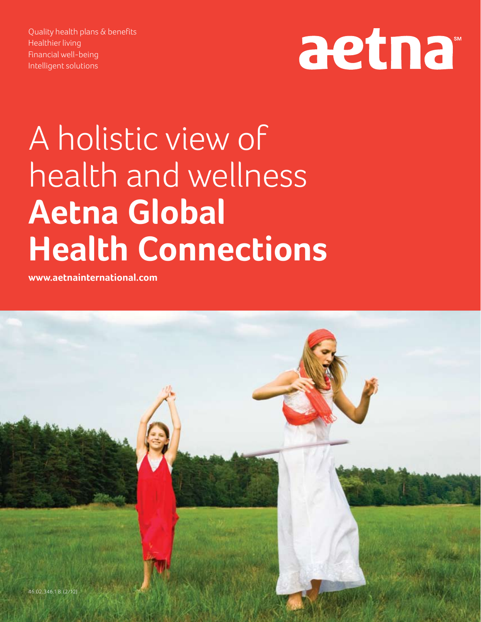Quality health plans & benefits Healthier living Financial well-being Intelligent solutions



# A holistic view of health and wellness **Aetna Global Health Connections**

**www.aetnainternational.com**

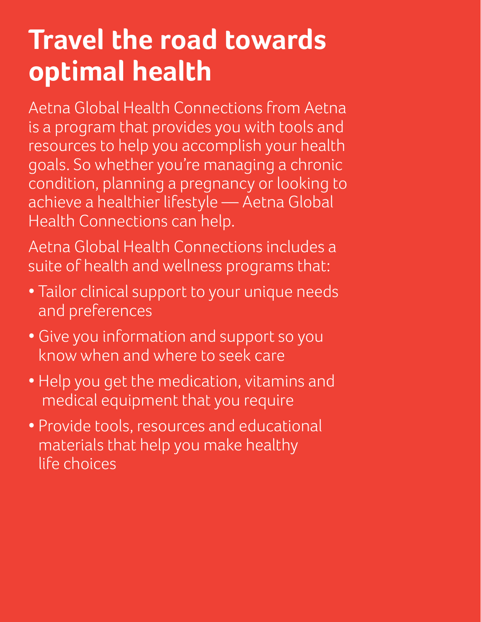## **Travel the road towards optimal health**

Aetna Global Health Connections from Aetna is a program that provides you with tools and resources to help you accomplish your health goals. So whether you're managing a chronic condition, planning a pregnancy or looking to achieve a healthier lifestyle — Aetna Global Health Connections can help.

Aetna Global Health Connections includes a suite of health and wellness programs that:

- Tailor clinical support to your unique needs and preferences
- Give you information and support so you know when and where to seek care
- Help you get the medication, vitamins and medical equipment that you require
- Provide tools, resources and educational materials that help you make healthy life choices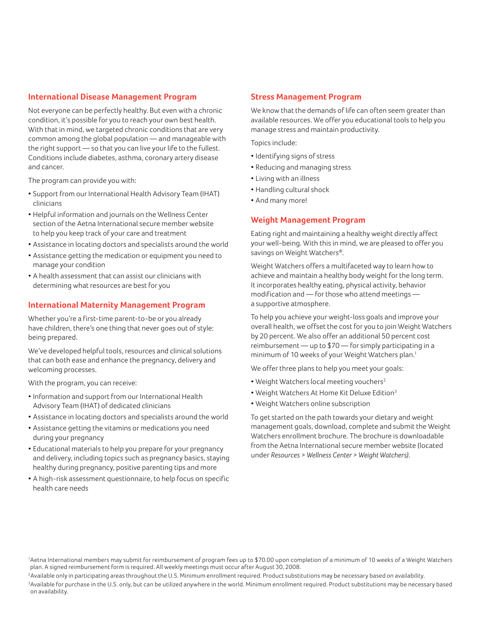### **International Disease Management Program**

Not everyone can be perfectly healthy. But even with a chronic condition, it's possible for you to reach your own best health. With that in mind, we targeted chronic conditions that are very common among the global population — and manageable with the right support — so that you can live your life to the fullest. Conditions include diabetes, asthma, coronary artery disease and cancer.

The program can provide you with:

- Support from our International Health Advisory Team (IHAT) clinicians
- Helpful information and journals on the Wellness Center section of the Aetna International secure member website to help you keep track of your care and treatment
- Assistance in locating doctors and specialists around the world
- • Assistance getting the medication or equipment you need to manage your condition
- • A health assessment that can assist our clinicians with determining what resources are best for you

### **International Maternity Management Program**

Whether you're a first-time parent-to-be or you already have children, there's one thing that never goes out of style: being prepared.

We've developed helpful tools, resources and clinical solutions that can both ease and enhance the pregnancy, delivery and welcoming processes.

With the program, you can receive:

- Information and support from our International Health Advisory Team (IHAT) of dedicated clinicians
- Assistance in locating doctors and specialists around the world
- • Assistance getting the vitamins or medications you need during your pregnancy
- Educational materials to help you prepare for your pregnancy and delivery, including topics such as pregnancy basics, staying healthy during pregnancy, positive parenting tips and more
- A high-risk assessment questionnaire, to help focus on specific health care needs

### **Stress Management Program**

We know that the demands of life can often seem greater than available resources. We offer you educational tools to help you manage stress and maintain productivity.

Topics include:

- • Identifying signs of stress
- • Reducing and managing stress
- • Living with an illness
- Handling cultural shock
- And many more!

### **Weight Management Program**

Eating right and maintaining a healthy weight directly affect your well-being. With this in mind, we are pleased to offer you savings on Weight Watchers®.

Weight Watchers offers a multifaceted way to learn how to achieve and maintain a healthy body weight for the long term. It incorporates healthy eating, physical activity, behavior modification and — for those who attend meetings a supportive atmosphere.

To help you achieve your weight-loss goals and improve your overall health, we offset the cost for you to join Weight Watchers by 20 percent. We also offer an additional 50 percent cost reimbursement — up to \$70 — for simply participating in a minimum of 10 weeks of your Weight Watchers plan.<sup>1</sup>

We offer three plans to help you meet your goals:

- Weight Watchers local meeting vouchers<sup>2</sup>
- Weight Watchers At Home Kit Deluxe Edition<sup>3</sup>
- • Weight Watchers online subscription

To get started on the path towards your dietary and weight management goals, download, complete and submit the Weight Watchers enrollment brochure. The brochure is downloadable from the Aetna International secure member website (located under *Resources > Wellness Center > Weight Watchers)*.

3 Available for purchase in the U.S. only, but can be utilized anywhere in the world. Minimum enrollment required. Product substitutions may be necessary based on availability.

<sup>1</sup> Aetna International members may submit for reimbursement of program fees up to \$70.00 upon completion of a minimum of 10 weeks of a Weight Watchers plan. A signed reimbursement form is required. All weekly meetings must occur after August 30, 2008.

<sup>2</sup>Available only in participating areas throughout the U.S. Minimum enrollment required. Product substitutions may be necessary based on availability.